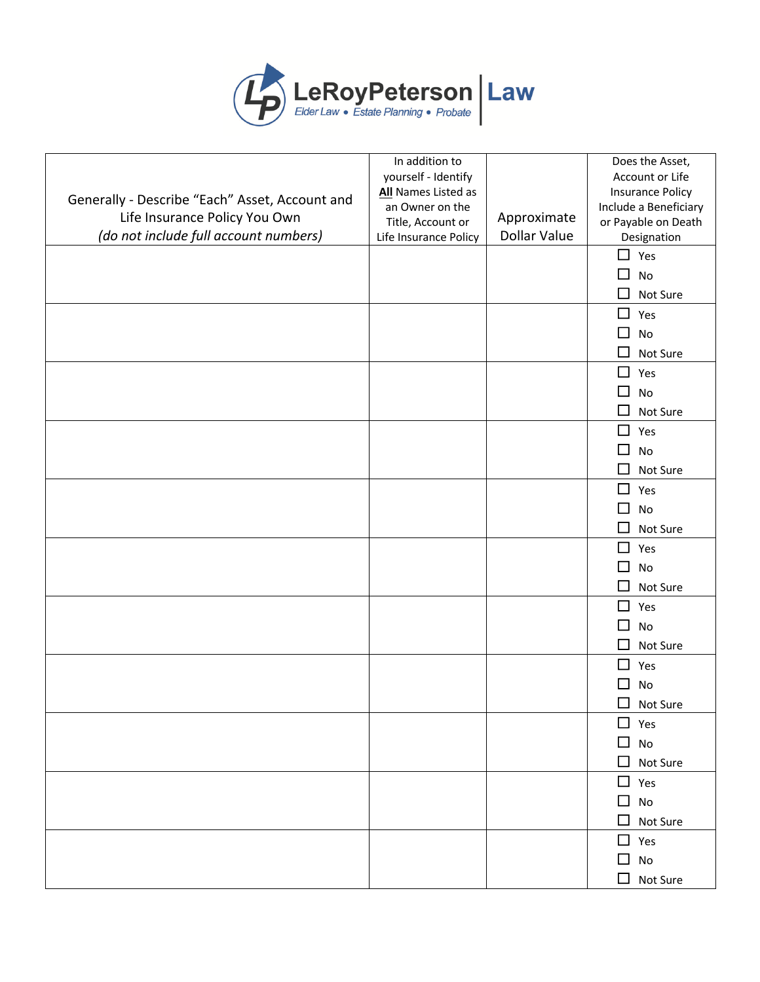

|                                                | In addition to        |                     | Does the Asset,                   |
|------------------------------------------------|-----------------------|---------------------|-----------------------------------|
|                                                | yourself - Identify   |                     | Account or Life                   |
| Generally - Describe "Each" Asset, Account and | All Names Listed as   |                     | <b>Insurance Policy</b>           |
| Life Insurance Policy You Own                  | an Owner on the       |                     | Include a Beneficiary             |
|                                                | Title, Account or     | Approximate         | or Payable on Death               |
| (do not include full account numbers)          | Life Insurance Policy | <b>Dollar Value</b> | Designation                       |
|                                                |                       |                     | $\Box$ Yes                        |
|                                                |                       |                     | $\Box$<br>No                      |
|                                                |                       |                     | $\Box$<br>Not Sure                |
|                                                |                       |                     | $\Box$ Yes                        |
|                                                |                       |                     | □<br>No                           |
|                                                |                       |                     | $\Box$<br>Not Sure                |
|                                                |                       |                     | $\square$ Yes                     |
|                                                |                       |                     | $\Box$<br>No                      |
|                                                |                       |                     | $\Box$<br>Not Sure                |
|                                                |                       |                     | $\Box$<br>Yes                     |
|                                                |                       |                     | $\Box$<br>No                      |
|                                                |                       |                     | $\Box$<br>Not Sure                |
|                                                |                       |                     | $\Box$<br>Yes                     |
|                                                |                       |                     | $\Box$<br>No                      |
|                                                |                       |                     | $\Box$<br>Not Sure                |
|                                                |                       |                     | $\Box$<br>Yes                     |
|                                                |                       |                     | $\Box$<br>No                      |
|                                                |                       |                     | □                                 |
|                                                |                       |                     | Not Sure                          |
|                                                |                       |                     | $\Box$<br>Yes                     |
|                                                |                       |                     | $\Box$<br>No                      |
|                                                |                       |                     | □<br>Not Sure                     |
|                                                |                       |                     | ◻<br>Yes                          |
|                                                |                       |                     | П<br>No                           |
|                                                |                       |                     | $\Box$<br>Not Sure                |
|                                                |                       |                     | $\Box$ Yes                        |
|                                                |                       |                     | □<br>$\operatorname{\mathsf{No}}$ |
|                                                |                       |                     | ◻<br>Not Sure                     |
|                                                |                       |                     | $\Box$ Yes                        |
|                                                |                       |                     | $\Box$ No                         |
|                                                |                       |                     | $\Box$<br>Not Sure                |
|                                                |                       |                     | $\Box$ Yes                        |
|                                                |                       |                     | $\Box$<br>No                      |
|                                                |                       |                     | Not Sure<br>□                     |